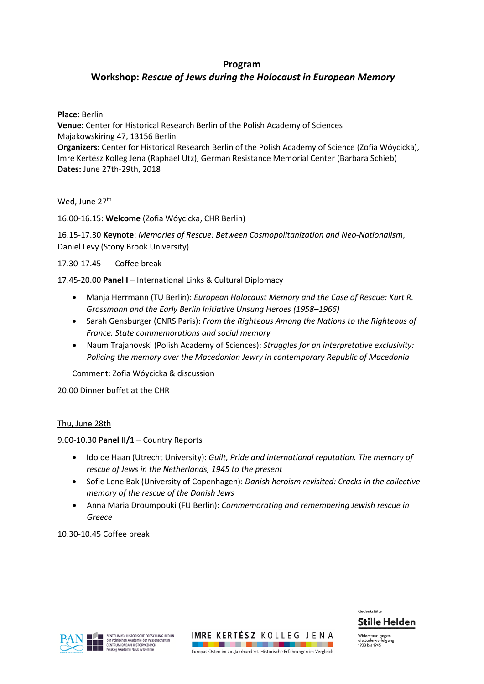# **Program**

# **Workshop:** *Rescue of Jews during the Holocaust in European Memory*

### **Place:** Berlin

**Venue:** Center for Historical Research Berlin of the Polish Academy of Sciences Majakowskiring 47, 13156 Berlin **Organizers:** Center for Historical Research Berlin of the Polish Academy of Science (Zofia Wóycicka), Imre Kertész Kolleg Jena (Raphael Utz), German Resistance Memorial Center (Barbara Schieb) **Dates:** June 27th-29th, 2018

# Wed, June 27<sup>th</sup>

16.00-16.15: **Welcome** (Zofia Wóycicka, CHR Berlin)

16.15-17.30 **Keynote**: *Memories of Rescue: Between Cosmopolitanization and Neo-Nationalism*, Daniel Levy (Stony Brook University)

# 17.30-17.45 Coffee break

17.45-20.00 **Panel I** – International Links & Cultural Diplomacy

- Manja Herrmann (TU Berlin): *European Holocaust Memory and the Case of Rescue: Kurt R. Grossmann and the Early Berlin Initiative Unsung Heroes (1958–1966)*
- Sarah Gensburger (CNRS Paris): *From the Righteous Among the Nations to the Righteous of France. State commemorations and social memory*
- Naum Trajanovski (Polish Academy of Sciences): *Struggles for an interpretative exclusivity: Policing the memory over the Macedonian Jewry in contemporary Republic of Macedonia*

Comment: Zofia Wóycicka & discussion

20.00 Dinner buffet at the CHR

#### Thu, June 28th

9.00-10.30 **Panel II/1** – Country Reports

- Ido de Haan (Utrecht University): *Guilt, Pride and international reputation. The memory of rescue of Jews in the Netherlands, 1945 to the present*
- Sofie Lene Bak (University of Copenhagen): *Danish heroism revisited: Cracks in the collective memory of the rescue of the Danish Jews*
- Anna Maria Droumpouki (FU Berlin): *Commemorating and remembering Jewish rescue in Greece*

10.30-10.45 Coffee break



**Stille Helden** 

Widerstand gegen<br>die Judenverfolgur die Judenvert<br>1933 bis 1945

Gedenkstätte